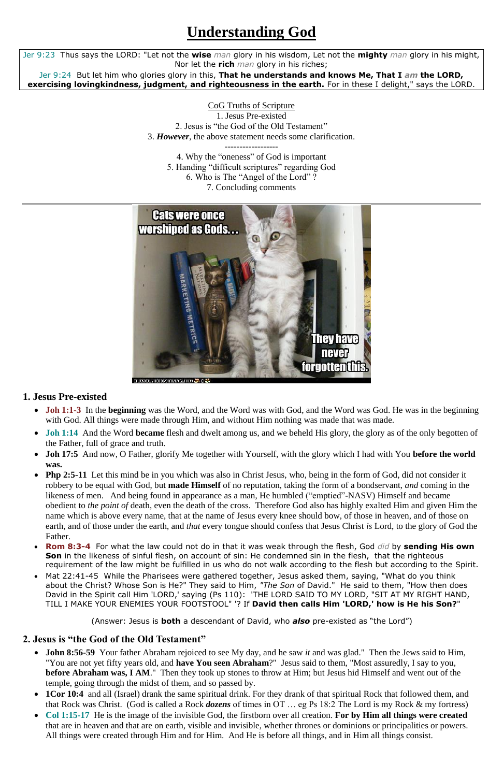# **Understanding God**

Jer 9:23 Thus says the LORD: "Let not the **wise** *man* glory in his wisdom, Let not the **mighty** *man* glory in his might, Nor let the **rich** *man* glory in his riches;

Jer 9:24 But let him who glories glory in this, **That he understands and knows Me, That I** *am* **the LORD, exercising lovingkindness, judgment, and righteousness in the earth.** For in these I delight," says the LORD.

> CoG Truths of Scripture 1. Jesus Pre-existed 2. Jesus is "the God of the Old Testament" 3. *However*, the above statement needs some clarification.

------------------ 4. Why the "oneness" of God is important 5. Handing "difficult scriptures" regarding God 6. Who is The "Angel of the Lord" ? 7. Concluding comments



#### **1. Jesus Pre-existed**

- **Joh 1:1-3** In the **beginning** was the Word, and the Word was with God, and the Word was God. He was in the beginning with God. All things were made through Him, and without Him nothing was made that was made.
- **Joh 1:14** And the Word **became** flesh and dwelt among us, and we beheld His glory, the glory as of the only begotten of the Father, full of grace and truth.
- **Joh 17:5** And now, O Father, glorify Me together with Yourself, with the glory which I had with You **before the world was.**
- **Php 2:5-11** Let this mind be in you which was also in Christ Jesus, who, being in the form of God, did not consider it robbery to be equal with God, but **made Himself** of no reputation, taking the form of a bondservant, *and* coming in the likeness of men. And being found in appearance as a man, He humbled ("emptied"-NASV) Himself and became obedient to *the point of* death, even the death of the cross. Therefore God also has highly exalted Him and given Him the name which is above every name, that at the name of Jesus every knee should bow, of those in heaven, and of those on earth, and of those under the earth, and *that* every tongue should confess that Jesus Christ *is* Lord, to the glory of God the Father.
- **Rom 8:3-4** For what the law could not do in that it was weak through the flesh, God *did* by **sending His own Son** in the likeness of sinful flesh, on account of sin: He condemned sin in the flesh, that the righteous requirement of the law might be fulfilled in us who do not walk according to the flesh but according to the Spirit. Mat 22:41-45 While the Pharisees were gathered together, Jesus asked them, saying, "What do you think about the Christ? Whose Son is He?" They said to Him, *"The Son* of David." He said to them, "How then does David in the Spirit call Him 'LORD,' saying (Ps 110): 'THE LORD SAID TO MY LORD, "SIT AT MY RIGHT HAND, TILL I MAKE YOUR ENEMIES YOUR FOOTSTOOL" '? If **David then calls Him 'LORD,' how is He his Son?**"

(Answer: Jesus is **both** a descendant of David, who *also* pre-existed as "the Lord")

#### **2. Jesus is "the God of the Old Testament"**

- **John 8:56-59** Your father Abraham rejoiced to see My day, and he saw *it* and was glad." Then the Jews said to Him, "You are not yet fifty years old, and **have You seen Abraham**?" Jesus said to them, "Most assuredly, I say to you, **before Abraham was, I AM.**" Then they took up stones to throw at Him; but Jesus hid Himself and went out of the temple, going through the midst of them, and so passed by.
- **1Cor 10:4** and all (Israel) drank the same spiritual drink. For they drank of that spiritual Rock that followed them, and that Rock was Christ. (God is called a Rock *dozens* of times in OT … eg Ps 18:2 The Lord is my Rock & my fortress)
- **Col 1:15-17** He is the image of the invisible God, the firstborn over all creation. **For by Him all things were created** that are in heaven and that are on earth, visible and invisible, whether thrones or dominions or principalities or powers. All things were created through Him and for Him. And He is before all things, and in Him all things consist.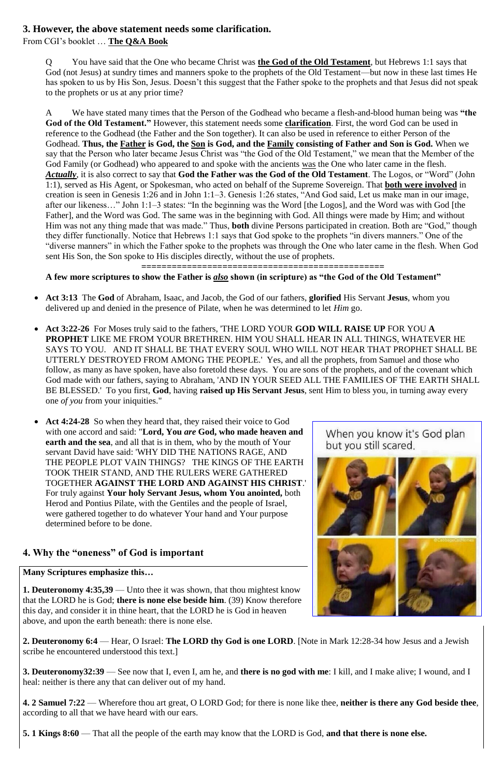#### **3. However, the above statement needs some clarification.**

From CGI's booklet … **The Q&A Book**

Q You have said that the One who became Christ was **the God of the Old Testament**, but Hebrews 1:1 says that God (not Jesus) at sundry times and manners spoke to the prophets of the Old Testament—but now in these last times He has spoken to us by His Son, Jesus. Doesn't this suggest that the Father spoke to the prophets and that Jesus did not speak to the prophets or us at any prior time?

A We have stated many times that the Person of the Godhead who became a flesh-and-blood human being was **"the God of the Old Testament."** However, this statement needs some **clarification**. First, the word God can be used in reference to the Godhead (the Father and the Son together). It can also be used in reference to either Person of the Godhead. **Thus, the Father is God, the Son is God, and the Family consisting of Father and Son is God.** When we say that the Person who later became Jesus Christ was "the God of the Old Testament," we mean that the Member of the God Family (or Godhead) who appeared to and spoke with the ancients was the One who later came in the flesh. *Actually*, it is also correct to say that **God the Father was the God of the Old Testament**. The Logos, or "Word" (John 1:1), served as His Agent, or Spokesman, who acted on behalf of the Supreme Sovereign. That **both were involved** in creation is seen in Genesis 1:26 and in John 1:1–3. Genesis 1:26 states, "And God said, Let us make man in our image, after our likeness…" John 1:1–3 states: "In the beginning was the Word [the Logos], and the Word was with God [the Father], and the Word was God. The same was in the beginning with God. All things were made by Him; and without Him was not any thing made that was made." Thus, **both** divine Persons participated in creation. Both are "God," though they differ functionally. Notice that Hebrews 1:1 says that God spoke to the prophets "in divers manners." One of the "diverse manners" in which the Father spoke to the prophets was through the One who later came in the flesh. When God sent His Son, the Son spoke to His disciples directly, without the use of prophets.

**================================================**

#### **A few more scriptures to show the Father is** *also* **shown (in scripture) as "the God of the Old Testament"**

- **Act 3:13** The **God** of Abraham, Isaac, and Jacob, the God of our fathers, **glorified** His Servant **Jesus**, whom you delivered up and denied in the presence of Pilate, when he was determined to let *Him* go.
- **Act 3:22-26** For Moses truly said to the fathers, 'THE LORD YOUR **GOD WILL RAISE UP** FOR YOU **A PROPHET** LIKE ME FROM YOUR BRETHREN. HIM YOU SHALL HEAR IN ALL THINGS, WHATEVER HE SAYS TO YOU. AND IT SHALL BE THAT EVERY SOUL WHO WILL NOT HEAR THAT PROPHET SHALL BE UTTERLY DESTROYED FROM AMONG THE PEOPLE.' Yes, and all the prophets, from Samuel and those who follow, as many as have spoken, have also foretold these days. You are sons of the prophets, and of the covenant which God made with our fathers, saying to Abraham, 'AND IN YOUR SEED ALL THE FAMILIES OF THE EARTH SHALL BE BLESSED.' To you first, **God**, having **raised up His Servant Jesus**, sent Him to bless you, in turning away every one *of you* from your iniquities."
- Act 4:24-28 So when they heard that, they raised their voice to God with one accord and said: "**Lord, You** *are* **God, who made heaven and earth and the sea**, and all that is in them, who by the mouth of Your servant David have said: 'WHY DID THE NATIONS RAGE, AND THE PEOPLE PLOT VAIN THINGS? THE KINGS OF THE EARTH TOOK THEIR STAND, AND THE RULERS WERE GATHERED TOGETHER **AGAINST THE LORD AND AGAINST HIS CHRIST**.' For truly against **Your holy Servant Jesus, whom You anointed,** both Herod and Pontius Pilate, with the Gentiles and the people of Israel, were gathered together to do whatever Your hand and Your purpose determined before to be done.

# **4. Why the "oneness" of God is important**

#### When you know it's God plan but you still scared.



**Many Scriptures emphasize this…**

**1. Deuteronomy 4:35,39** — Unto thee it was shown, that thou mightest know that the LORD he is God; **there is none else beside him**. (39) Know therefore this day, and consider it in thine heart, that the LORD he is God in heaven above, and upon the earth beneath: there is none else.

**2. Deuteronomy 6:4** — Hear, O Israel: **The LORD thy God is one LORD**. [Note in Mark 12:28-34 how Jesus and a Jewish scribe he encountered understood this text.]

**3. Deuteronomy32:39** — See now that I, even I, am he, and **there is no god with me**: I kill, and I make alive; I wound, and I heal: neither is there any that can deliver out of my hand.

**4. 2 Samuel 7:22** — Wherefore thou art great, O LORD God; for there is none like thee, **neither is there any God beside thee**, according to all that we have heard with our ears.

**5. 1 Kings 8:60** — That all the people of the earth may know that the LORD is God, **and that there is none else.**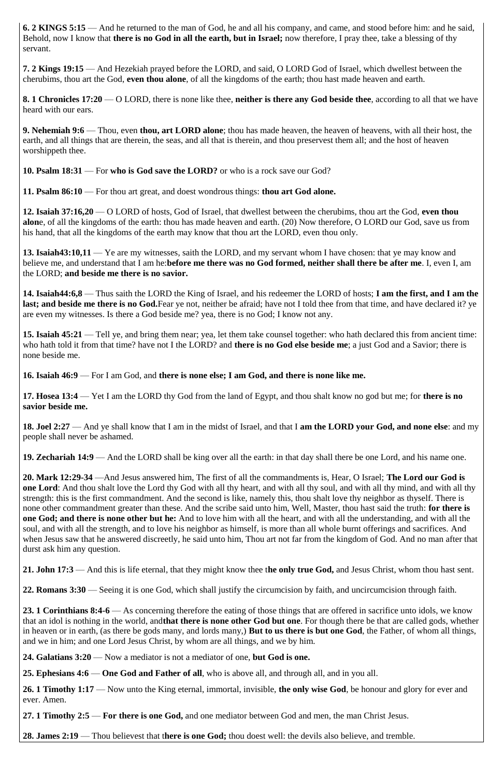**6. 2 KINGS 5:15** — And he returned to the man of God, he and all his company, and came, and stood before him: and he said, Behold, now I know that **there is no God in all the earth, but in Israel;** now therefore, I pray thee, take a blessing of thy servant.

**7. 2 Kings 19:15** — And Hezekiah prayed before the LORD, and said, O LORD God of Israel, which dwellest between the cherubims, thou art the God, **even thou alone**, of all the kingdoms of the earth; thou hast made heaven and earth.

**8. 1 Chronicles 17:20** — O LORD, there is none like thee, **neither is there any God beside thee**, according to all that we have heard with our ears.

**9. Nehemiah 9:6** — Thou, even **thou, art LORD alone**; thou has made heaven, the heaven of heavens, with all their host, the earth, and all things that are therein, the seas, and all that is therein, and thou preservest them all; and the host of heaven worshippeth thee.

**10. Psalm 18:31** — For **who is God save the LORD?** or who is a rock save our God?

**11. Psalm 86:10** — For thou art great, and doest wondrous things: **thou art God alone.**

**12. Isaiah 37:16,20** — O LORD of hosts, God of Israel, that dwellest between the cherubims, thou art the God, **even thou alon**e, of all the kingdoms of the earth: thou has made heaven and earth. (20) Now therefore, O LORD our God, save us from his hand, that all the kingdoms of the earth may know that thou art the LORD, even thou only.

**13. Isaiah43:10,11** — Ye are my witnesses, saith the LORD, and my servant whom I have chosen: that ye may know and believe me, and understand that I am he:**before me there was no God formed, neither shall there be after me**. I, even I, am the LORD; **and beside me there is no savior.**

**14. Isaiah44:6,8** — Thus saith the LORD the King of Israel, and his redeemer the LORD of hosts; **I am the first, and I am the**  last; and beside me there is no God.Fear ye not, neither be afraid; have not I told thee from that time, and have declared it? ye are even my witnesses. Is there a God beside me? yea, there is no God; I know not any.

**15. Isaiah 45:21** — Tell ye, and bring them near; yea, let them take counsel together: who hath declared this from ancient time: who hath told it from that time? have not I the LORD? and **there is no God else beside me**; a just God and a Savior; there is none beside me.

**16. Isaiah 46:9** — For I am God, and **there is none else; I am God, and there is none like me.**

**17. Hosea 13:4** — Yet I am the LORD thy God from the land of Egypt, and thou shalt know no god but me; for **there is no savior beside me.**

**18. Joel 2:27** — And ye shall know that I am in the midst of Israel, and that I **am the LORD your God, and none else**: and my people shall never be ashamed.

**19. Zechariah 14:9** — And the LORD shall be king over all the earth: in that day shall there be one Lord, and his name one.

**20. Mark 12:29-34** —And Jesus answered him, The first of all the commandments is, Hear, O Israel; **The Lord our God is one Lord**: And thou shalt love the Lord thy God with all thy heart, and with all thy soul, and with all thy mind, and with all thy strength: this is the first commandment. And the second is like, namely this, thou shalt love thy neighbor as thyself. There is none other commandment greater than these. And the scribe said unto him, Well, Master, thou hast said the truth: **for there is one God; and there is none other but he:** And to love him with all the heart, and with all the understanding, and with all the soul, and with all the strength, and to love his neighbor as himself, is more than all whole burnt offerings and sacrifices. And when Jesus saw that he answered discreetly, he said unto him, Thou art not far from the kingdom of God. And no man after that durst ask him any question.

**21. John 17:3** — And this is life eternal, that they might know thee t**he only true God,** and Jesus Christ, whom thou hast sent.

**22. Romans 3:30** — Seeing it is one God, which shall justify the circumcision by faith, and uncircumcision through faith.

**23. 1 Corinthians 8:4-6** — As concerning therefore the eating of those things that are offered in sacrifice unto idols, we know that an idol is nothing in the world, and**that there is none other God but one**. For though there be that are called gods, whether in heaven or in earth, (as there be gods many, and lords many,) **But to us there is but one God**, the Father, of whom all things, and we in him; and one Lord Jesus Christ, by whom are all things, and we by him.

**24. Galatians 3:20** — Now a mediator is not a mediator of one, **but God is one.**

**25. Ephesians 4:6** — **One God and Father of all**, who is above all, and through all, and in you all.

**26. 1 Timothy 1:17** — Now unto the King eternal, immortal, invisible, **the only wise God**, be honour and glory for ever and ever. Amen.

**27. 1 Timothy 2:5** — **For there is one God,** and one mediator between God and men, the man Christ Jesus.

**28. James 2:19** — Thou believest that t**here is one God;** thou doest well: the devils also believe, and tremble.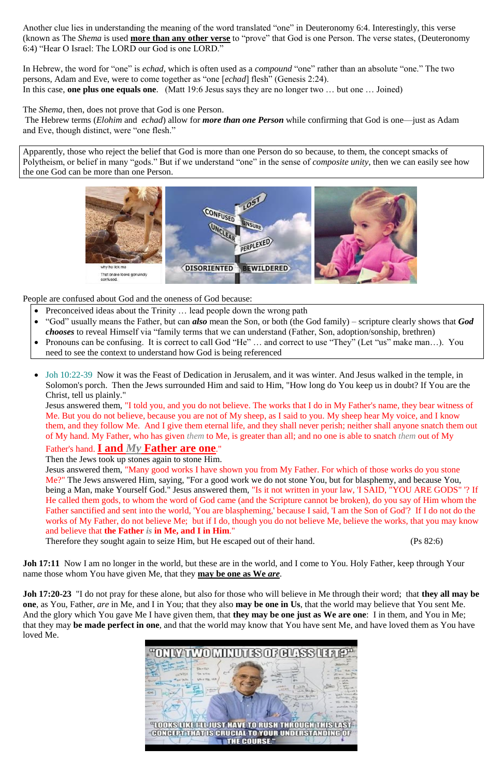Another clue lies in understanding the meaning of the word translated "one" in Deuteronomy 6:4. Interestingly, this verse (known as The *Shema* is used **more than any other verse** to "prove" that God is one Person. The verse states, (Deuteronomy 6:4) "Hear O Israel: The LORD our God is one LORD."

In Hebrew, the word for "one" is *echad*, which is often used as a *compound* "one" rather than an absolute "one." The two persons, Adam and Eve, were to come together as "one [*echad*] flesh" (Genesis 2:24). In this case, **one plus one equals one**. (Matt 19:6 Jesus says they are no longer two … but one … Joined)

The *Shema*, then, does not prove that God is one Person.

The Hebrew terms (*Elohim* and *echad*) allow for *more than one Person* while confirming that God is one—just as Adam and Eve, though distinct, were "one flesh."

- Preconceived ideas about the Trinity ... lead people down the wrong path
- "God" usually means the Father, but can *also* mean the Son, or both (the God family) scripture clearly shows that *God chooses* to reveal Himself via "family terms that we can understand (Father, Son, adoption/sonship, brethren)
- Pronouns can be confusing. It is correct to call God "He" ... and correct to use "They" (Let "us" make man...). You need to see the context to understand how God is being referenced
- Joh 10:22-39 Now it was the Feast of Dedication in Jerusalem, and it was winter. And Jesus walked in the temple, in Solomon's porch. Then the Jews surrounded Him and said to Him, "How long do You keep us in doubt? If You are the Christ, tell us plainly."

Apparently, those who reject the belief that God is more than one Person do so because, to them, the concept smacks of Polytheism, or belief in many "gods." But if we understand "one" in the sense of *composite unity*, then we can easily see how the one God can be more than one Person.



People are confused about God and the oneness of God because:

Jesus answered them, "I told you, and you do not believe. The works that I do in My Father's name, they bear witness of Me. But you do not believe, because you are not of My sheep, as I said to you. My sheep hear My voice, and I know them, and they follow Me. And I give them eternal life, and they shall never perish; neither shall anyone snatch them out of My hand. My Father, who has given *them* to Me, is greater than all; and no one is able to snatch *them* out of My

#### Father's hand. **I and** *My* **Father are one**."

Then the Jews took up stones again to stone Him.

Jesus answered them, "Many good works I have shown you from My Father. For which of those works do you stone Me?" The Jews answered Him, saying, "For a good work we do not stone You, but for blasphemy, and because You, being a Man, make Yourself God." Jesus answered them, "Is it not written in your law, 'I SAID, "YOU ARE GODS" '? If He called them gods, to whom the word of God came (and the Scripture cannot be broken), do you say of Him whom the Father sanctified and sent into the world, 'You are blaspheming,' because I said, 'I am the Son of God'? If I do not do the works of My Father, do not believe Me; but if I do, though you do not believe Me, believe the works, that you may know and believe that **the Father** *is* **in Me, and I in Him**."

Therefore they sought again to seize Him, but He escaped out of their hand. (Ps 82:6)

**Joh 17:11** Now I am no longer in the world, but these are in the world, and I come to You. Holy Father, keep through Your

#### name those whom You have given Me, that they **may be one as We** *are.*

**Joh 17:20-23** "I do not pray for these alone, but also for those who will believe in Me through their word; that **they all may be one**, as You, Father, *are* in Me, and I in You; that they also **may be one in Us**, that the world may believe that You sent Me. And the glory which You gave Me I have given them, that **they may be one just as We are one**: I in them, and You in Me; that they may **be made perfect in one**, and that the world may know that You have sent Me, and have loved them as You have loved Me.

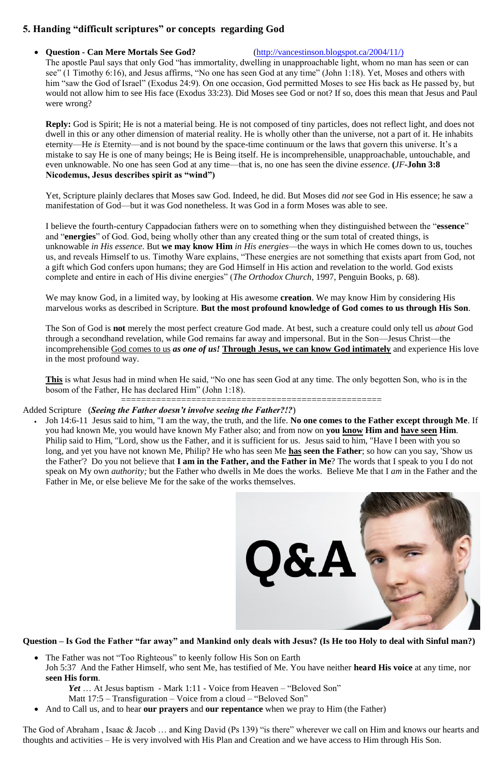## **5. Handing "difficult scriptures" or concepts regarding God**

#### **Question - Can Mere Mortals See God?** [\(http://vancestinson.blogspot.ca/2004/11/\)](http://vancestinson.blogspot.ca/2004/11/))

The apostle Paul says that only God "has immortality, dwelling in unapproachable light, whom no man has seen or can see" (1 Timothy 6:16), and Jesus affirms, "No one has seen God at any time" (John 1:18). Yet, Moses and others with him "saw the God of Israel" (Exodus 24:9). On one occasion, God permitted Moses to see His back as He passed by, but would not allow him to see His face (Exodus 33:23). Did Moses see God or not? If so, does this mean that Jesus and Paul were wrong?

**Reply:** God is Spirit; He is not a material being. He is not composed of tiny particles, does not reflect light, and does not dwell in this or any other dimension of material reality. He is wholly other than the universe, not a part of it. He inhabits eternity—He *is* Eternity—and is not bound by the space-time continuum or the laws that govern this universe. It's a mistake to say He is one of many beings; He is Being itself. He is incomprehensible, unapproachable, untouchable, and even unknowable. No one has seen God at any time—that is, no one has seen the divine *essence*. **(***JF***-John 3:8 Nicodemus, Jesus describes spirit as "wind")**

Yet, Scripture plainly declares that Moses saw God. Indeed, he did. But Moses did *not* see God in His essence; he saw a manifestation of God—but it was God nonetheless. It was God in a form Moses was able to see.

I believe the fourth-century Cappadocian fathers were on to something when they distinguished between the "**essence**" and "**energies**" of God. God, being wholly other than any created thing or the sum total of created things, is unknowable *in His essence*. But **we may know Him** *in His energies*—the ways in which He comes down to us, touches us, and reveals Himself to us. Timothy Ware explains, "These energies are not something that exists apart from God, not a gift which God confers upon humans; they are God Himself in His action and revelation to the world. God exists complete and entire in each of His divine energies" (*The Orthodox Church*, 1997, Penguin Books, p. 68).

• The Father was not "Too Righteous" to keenly follow His Son on Earth Joh 5:37 And the Father Himself, who sent Me, has testified of Me. You have neither **heard His voice** at any time, nor **seen His form**.

We may know God, in a limited way, by looking at His awesome **creation**. We may know Him by considering His marvelous works as described in Scripture. **But the most profound knowledge of God comes to us through His Son**.

The Son of God is **not** merely the most perfect creature God made. At best, such a creature could only tell us *about* God through a secondhand revelation, while God remains far away and impersonal. But in the Son—Jesus Christ—the incomprehensible God comes to us *as one of us!* **Through Jesus, we can know God intimately** and experience His love in the most profound way.

**This** is what Jesus had in mind when He said, "No one has seen God at any time. The only begotten Son, who is in the bosom of the Father, He has declared Him" (John 1:18).

#### ==================================================== Added Scripture (*Seeing the Father doesn't involve seeing the Father?!?*)

 Joh 14:6-11 Jesus said to him, "I am the way, the truth, and the life. **No one comes to the Father except through Me**. If you had known Me, you would have known My Father also; and from now on **you know Him and have seen Him**. Philip said to Him, "Lord, show us the Father, and it is sufficient for us. Jesus said to him, "Have I been with you so long, and yet you have not known Me, Philip? He who has seen Me **has seen the Father**; so how can you say, 'Show us the Father'? Do you not believe that **I am in the Father, and the Father in Me**? The words that I speak to you I do not speak on My own *authority;* but the Father who dwells in Me does the works. Believe Me that I *am* in the Father and the Father in Me, or else believe Me for the sake of the works themselves.



**Question – Is God the Father "far away" and Mankind only deals with Jesus? (Is He too Holy to deal with Sinful man?)**

*Yet* … At Jesus baptism - Mark 1:11 - Voice from Heaven – "Beloved Son" Matt 17:5 – Transfiguration – Voice from a cloud – "Beloved Son"

And to Call us, and to hear **our prayers** and **our repentance** when we pray to Him (the Father)

The God of Abraham , Isaac & Jacob … and King David (Ps 139) "is there" wherever we call on Him and knows our hearts and thoughts and activities – He is very involved with His Plan and Creation and we have access to Him through His Son.